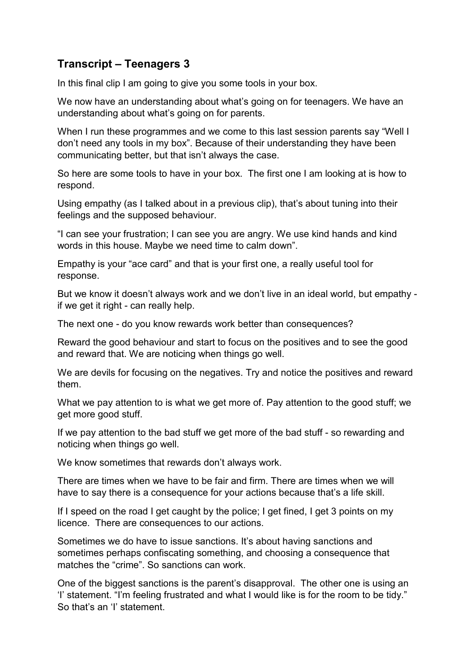## **Transcript – Teenagers 3**

In this final clip I am going to give you some tools in your box.

We now have an understanding about what's going on for teenagers. We have an understanding about what's going on for parents.

When I run these programmes and we come to this last session parents say "Well I don't need any tools in my box". Because of their understanding they have been communicating better, but that isn't always the case.

So here are some tools to have in your box. The first one I am looking at is how to respond.

Using empathy (as I talked about in a previous clip), that's about tuning into their feelings and the supposed behaviour.

"I can see your frustration; I can see you are angry. We use kind hands and kind words in this house. Maybe we need time to calm down".

Empathy is your "ace card" and that is your first one, a really useful tool for response.

But we know it doesn't always work and we don't live in an ideal world, but empathy if we get it right - can really help.

The next one - do you know rewards work better than consequences?

Reward the good behaviour and start to focus on the positives and to see the good and reward that. We are noticing when things go well.

We are devils for focusing on the negatives. Try and notice the positives and reward them.

What we pay attention to is what we get more of. Pay attention to the good stuff; we get more good stuff.

If we pay attention to the bad stuff we get more of the bad stuff - so rewarding and noticing when things go well.

We know sometimes that rewards don't always work.

There are times when we have to be fair and firm. There are times when we will have to say there is a consequence for your actions because that's a life skill.

If I speed on the road I get caught by the police; I get fined, I get 3 points on my licence. There are consequences to our actions.

Sometimes we do have to issue sanctions. It's about having sanctions and sometimes perhaps confiscating something, and choosing a consequence that matches the "crime". So sanctions can work.

One of the biggest sanctions is the parent's disapproval. The other one is using an 'I' statement. "I'm feeling frustrated and what I would like is for the room to be tidy." So that's an 'I' statement.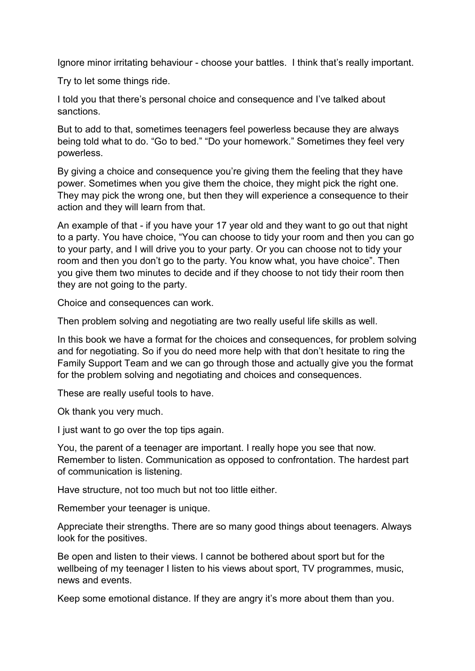Ignore minor irritating behaviour - choose your battles. I think that's really important.

Try to let some things ride.

I told you that there's personal choice and consequence and I've talked about sanctions.

But to add to that, sometimes teenagers feel powerless because they are always being told what to do. "Go to bed." "Do your homework." Sometimes they feel very powerless.

By giving a choice and consequence you're giving them the feeling that they have power. Sometimes when you give them the choice, they might pick the right one. They may pick the wrong one, but then they will experience a consequence to their action and they will learn from that.

An example of that - if you have your 17 year old and they want to go out that night to a party. You have choice, "You can choose to tidy your room and then you can go to your party, and I will drive you to your party. Or you can choose not to tidy your room and then you don't go to the party. You know what, you have choice". Then you give them two minutes to decide and if they choose to not tidy their room then they are not going to the party.

Choice and consequences can work.

Then problem solving and negotiating are two really useful life skills as well.

In this book we have a format for the choices and consequences, for problem solving and for negotiating. So if you do need more help with that don't hesitate to ring the Family Support Team and we can go through those and actually give you the format for the problem solving and negotiating and choices and consequences.

These are really useful tools to have.

Ok thank you very much.

I just want to go over the top tips again.

You, the parent of a teenager are important. I really hope you see that now. Remember to listen. Communication as opposed to confrontation. The hardest part of communication is listening.

Have structure, not too much but not too little either.

Remember your teenager is unique.

Appreciate their strengths. There are so many good things about teenagers. Always look for the positives.

Be open and listen to their views. I cannot be bothered about sport but for the wellbeing of my teenager I listen to his views about sport, TV programmes, music, news and events.

Keep some emotional distance. If they are angry it's more about them than you.